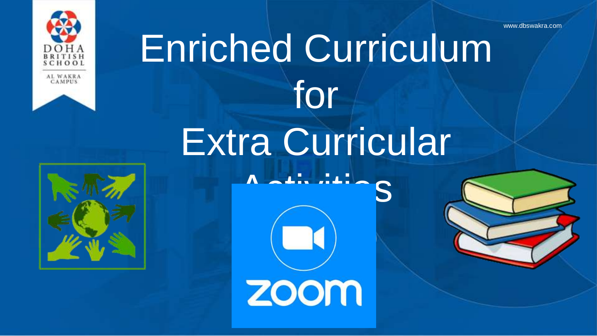www.dbswakra.com





# Enriched Curriculum for Extra Curricular

 $\Lambda$   $\mathbf{1}$ . ...

 $\left( \begin{array}{ccc} \text{cl} \end{array} \right)$ 

zoom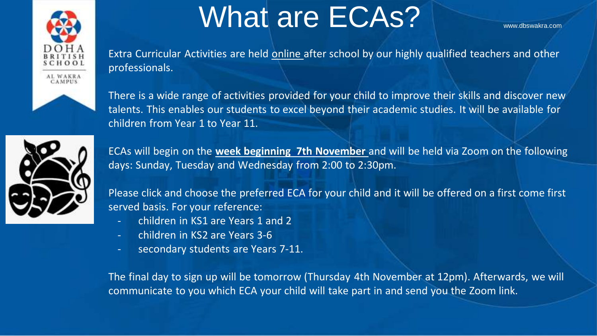

### What are ECAs?

Extra Curricular Activities are held online after school by our highly qualified teachers and other professionals.



There is a wide range of activities provided for your child to improve their skills and discover new talents. This enables our students to excel beyond their academic studies. It will be available for children from Year 1 to Year 11.



ECAs will begin on the **week beginning 7th November** and will be held via Zoom on the following days: Sunday, Tuesday and Wednesday from 2:00 to 2:30pm.

Please click and choose the preferred ECA for your child and it will be offered on a first come first served basis. For your reference:

- children in KS1 are Years 1 and 2
- children in KS2 are Years 3-6
- secondary students are Years 7-11.

The final day to sign up will be tomorrow (Thursday 4th November at 12pm). Afterwards, we will communicate to you which ECA your child will take part in and send you the Zoom link.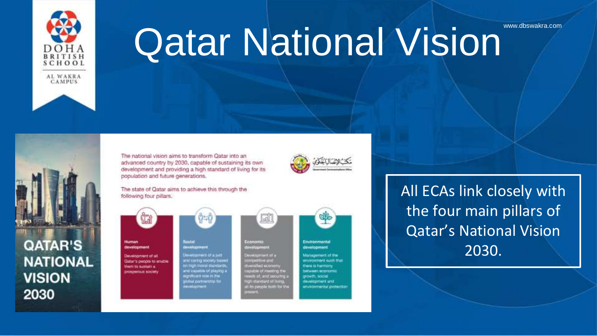

# **Qatar National Vision**



#### **QATAR'S NATIONAL VISION** 2030





The state of Qatar aims to achieve this through the following four pillars.





evelopment

a ha thempointed on of, and taxcuring in strandfund of Hving I its possie both for th



All ECAs link closely with the four main pillars of Qatar's National Vision 2030.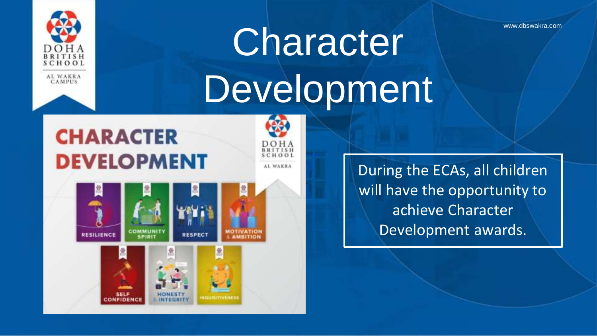

# Character **Character** Development

 $CHAO$ AL WAKRA

### **CHARACTER DEVELOPMENT**

**SELF CONFIDEN** 





During the ECAs, all children will have the opportunity to achieve Character Development awards.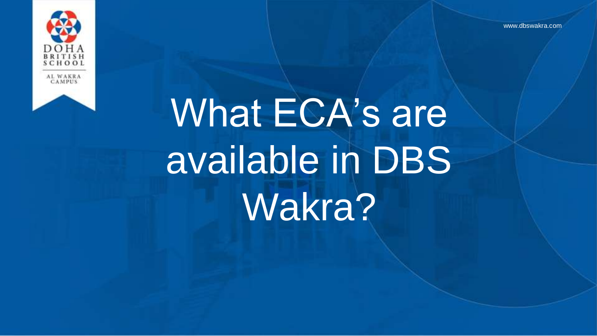www.dbswakra.com



# What ECA's are available in DBS Wakra?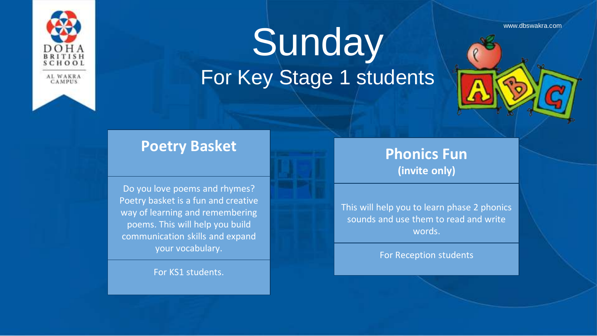

## Sunday Representation For Key Stage 1 students

#### **Poetry Basket**

Do you love poems and rhymes? Poetry basket is a fun and creative way of learning and remembering poems. This will help you build communication skills and expand your vocabulary.

For KS1 students.

#### **Phonics Fun (invite only)**

This will help you to learn phase 2 phonics sounds and use them to read and write words.

For Reception students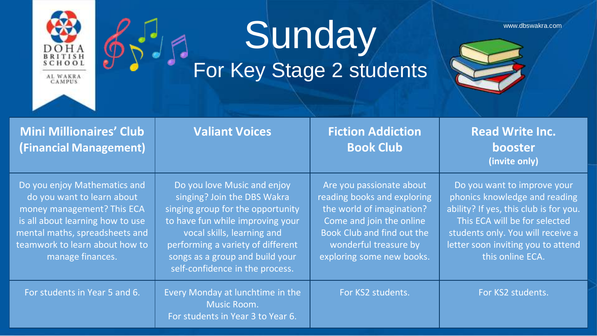

 $\cdot$ 

# Sunday www.dbswakra.com

For Key Stage 2 students



| <b>Mini Millionaires' Club</b><br>(Financial Management)                                                                                                                                                             | <b>Valiant Voices</b>                                                                                                                                                                                                                                                        | <b>Fiction Addiction</b><br><b>Book Club</b>                                                                                                                                                         | <b>Read Write Inc.</b><br>booster<br>(invite only)                                                                                                                                                                                     |
|----------------------------------------------------------------------------------------------------------------------------------------------------------------------------------------------------------------------|------------------------------------------------------------------------------------------------------------------------------------------------------------------------------------------------------------------------------------------------------------------------------|------------------------------------------------------------------------------------------------------------------------------------------------------------------------------------------------------|----------------------------------------------------------------------------------------------------------------------------------------------------------------------------------------------------------------------------------------|
| Do you enjoy Mathematics and<br>do you want to learn about<br>money management? This ECA<br>is all about learning how to use<br>mental maths, spreadsheets and<br>teamwork to learn about how to<br>manage finances. | Do you love Music and enjoy<br>singing? Join the DBS Wakra<br>singing group for the opportunity<br>to have fun while improving your<br>vocal skills, learning and<br>performing a variety of different<br>songs as a group and build your<br>self-confidence in the process. | Are you passionate about<br>reading books and exploring<br>the world of imagination?<br>Come and join the online<br>Book Club and find out the<br>wonderful treasure by<br>exploring some new books. | Do you want to improve your<br>phonics knowledge and reading<br>ability? If yes, this club is for you.<br>This ECA will be for selected<br>students only. You will receive a<br>letter soon inviting you to attend<br>this online ECA. |
| For students in Year 5 and 6.                                                                                                                                                                                        | Every Monday at lunchtime in the<br>Music Room.<br>For students in Year 3 to Year 6.                                                                                                                                                                                         | For KS2 students.                                                                                                                                                                                    | For KS2 students.                                                                                                                                                                                                                      |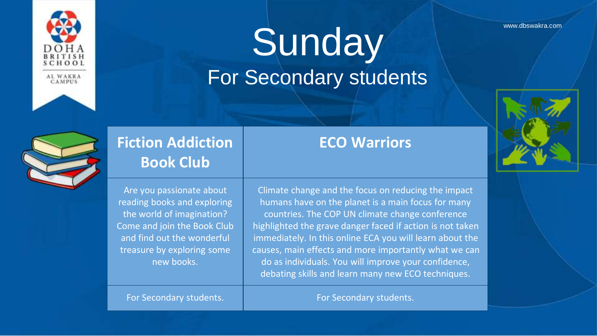

### Sunday www.dbswakra.com For Secondary students





### **Fiction Addiction Book Club**

Are you passionate about reading books and exploring the world of imagination? Come and join the Book Club and find out the wonderful treasure by exploring some new books.

#### **ECO Warriors**

Climate change and the focus on reducing the impact humans have on the planet is a main focus for many countries. The COP UN climate change conference highlighted the grave danger faced if action is not taken immediately. In this online ECA you will learn about the causes, main effects and more importantly what we can do as individuals. You will improve your confidence, debating skills and learn many new ECO techniques.

For Secondary students. **For Secondary students.** For Secondary students.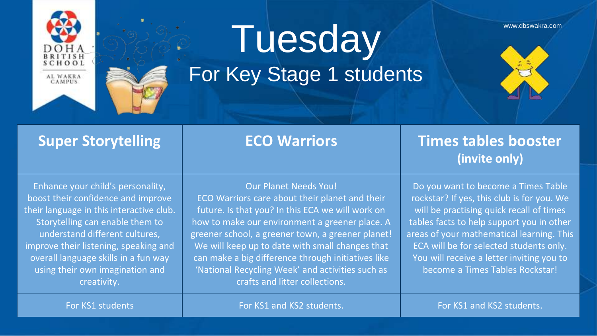

## Tuesday www.dbswakra.com

For Key Stage 1 students





#### **Super Storytelling Transform ECO Warriors Transform Times tables booster (invite only)**

Enhance your child's personality, boost their confidence and improve their language in this interactive club. Storytelling can enable them to understand different cultures, improve their listening, speaking and overall language skills in a fun way using their own imagination and creativity.

Our Planet Needs You! ECO Warriors care about their planet and their future. Is that you? In this ECA we will work on how to make our environment a greener place. A greener school, a greener town, a greener planet! We will keep up to date with small changes that can make a big difference through initiatives like 'National Recycling Week' and activities such as crafts and litter collections.

Do you want to become a Times Table rockstar? If yes, this club is for you. We will be practising quick recall of times tables facts to help support you in other areas of your mathematical learning. This ECA will be for selected students only. You will receive a letter inviting you to become a Times Tables Rockstar!

For KS1 students For KS1 and KS2 students. For KS1 and KS2 students.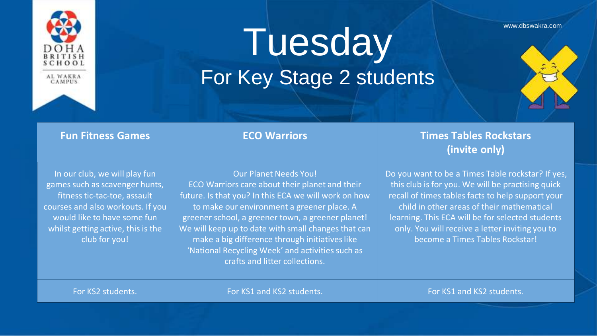

## Tuesday www.dbswakra.com For Key Stage 2 students





| <b>Fun Fitness Games</b>                                                                                                                                                                                                   | <b>ECO Warriors</b>                                                                                                                                                                                                                                                                                                                                                                                                                      | <b>Times Tables Rockstars</b><br>(invite only)                                                                                                                                                                                                                                                                                                      |
|----------------------------------------------------------------------------------------------------------------------------------------------------------------------------------------------------------------------------|------------------------------------------------------------------------------------------------------------------------------------------------------------------------------------------------------------------------------------------------------------------------------------------------------------------------------------------------------------------------------------------------------------------------------------------|-----------------------------------------------------------------------------------------------------------------------------------------------------------------------------------------------------------------------------------------------------------------------------------------------------------------------------------------------------|
| In our club, we will play fun<br>games such as scavenger hunts,<br>fitness tic-tac-toe, assault<br>courses and also workouts. If you<br>would like to have some fun<br>whilst getting active, this is the<br>club for you! | <b>Our Planet Needs You!</b><br>ECO Warriors care about their planet and their<br>future. Is that you? In this ECA we will work on how<br>to make our environment a greener place. A<br>greener school, a greener town, a greener planet!<br>We will keep up to date with small changes that can<br>make a big difference through initiatives like<br>'National Recycling Week' and activities such as<br>crafts and litter collections. | Do you want to be a Times Table rockstar? If yes,<br>this club is for you. We will be practising quick<br>recall of times tables facts to help support your<br>child in other areas of their mathematical<br>learning. This ECA will be for selected students<br>only. You will receive a letter inviting you to<br>become a Times Tables Rockstar! |
| For KS2 students.                                                                                                                                                                                                          | For KS1 and KS2 students.                                                                                                                                                                                                                                                                                                                                                                                                                | For KS1 and KS2 students.                                                                                                                                                                                                                                                                                                                           |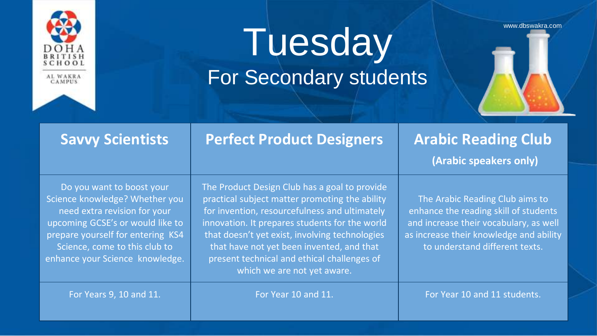

### Tuesday www.dbswakra.com For Secondary students

Do you want to boost your Science knowledge? Whether you need extra revision for your upcoming GCSE's or would like to prepare yourself for entering KS4 Science, come to this club to enhance your Science knowledge. The Product Design Club has a goal to provide practical subject matter promoting the ability for invention, resourcefulness and ultimately innovation. It prepares students for the world that doesn't yet exist, involving technologies that have not yet been invented, and that present technical and ethical challenges of which we are not yet aware.

**Savvy Scientists Perfect Product Designers Arabic Reading Club**

**(Arabic speakers only)**

The Arabic Reading Club aims to enhance the reading skill of students and increase their vocabulary, as well as increase their knowledge and ability to understand different texts.

For Years 9, 10 and 11. **For Year 10 and 11.** For Year 10 and 11. For Year 10 and 11 students.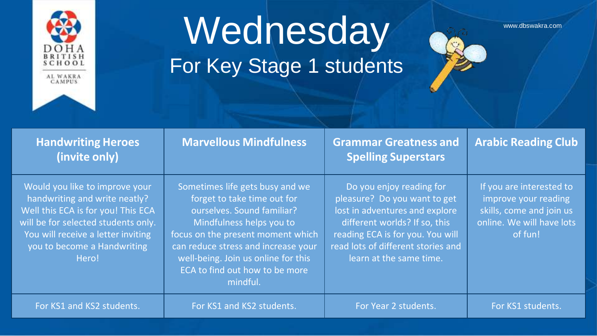

### Wednesday and www.dbswakra.com For Key Stage 1 students



| <b>Handwriting Heroes</b><br>(invite only)                                                                                                                                                                                 | <b>Marvellous Mindfulness</b>                                                                                                                                                                                                                                                             | <b>Grammar Greatness and</b><br><b>Spelling Superstars</b>                                                                                                                                                                       | <b>Arabic Reading Club</b>                                                                                           |
|----------------------------------------------------------------------------------------------------------------------------------------------------------------------------------------------------------------------------|-------------------------------------------------------------------------------------------------------------------------------------------------------------------------------------------------------------------------------------------------------------------------------------------|----------------------------------------------------------------------------------------------------------------------------------------------------------------------------------------------------------------------------------|----------------------------------------------------------------------------------------------------------------------|
| Would you like to improve your<br>handwriting and write neatly?<br>Well this ECA is for you! This ECA<br>will be for selected students only.<br>You will receive a letter inviting<br>you to become a Handwriting<br>Hero! | Sometimes life gets busy and we<br>forget to take time out for<br>ourselves. Sound familiar?<br>Mindfulness helps you to<br>focus on the present moment which<br>can reduce stress and increase your<br>well-being. Join us online for this<br>ECA to find out how to be more<br>mindful. | Do you enjoy reading for<br>pleasure? Do you want to get<br>lost in adventures and explore<br>different worlds? If so, this<br>reading ECA is for you. You will<br>read lots of different stories and<br>learn at the same time. | If you are interested to<br>improve your reading<br>skills, come and join us<br>online. We will have lots<br>of fun! |
| For KS1 and KS2 students.                                                                                                                                                                                                  | For KS1 and KS2 students.                                                                                                                                                                                                                                                                 | For Year 2 students.                                                                                                                                                                                                             | For KS1 students.                                                                                                    |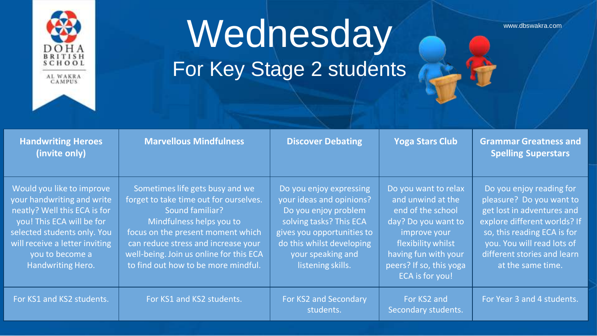

# Wednesday A Manusch Strategie

For Key Stage 2 students

| <b>Handwriting Heroes</b><br>(invite only)                                                                                                                                                                                    | <b>Marvellous Mindfulness</b>                                                                                                                                                                                                                                                          | <b>Discover Debating</b>                                                                                                                                                                                    | <b>Yoga Stars Club</b>                                                                                                                                                                            | <b>Grammar Greatness and</b><br><b>Spelling Superstars</b>                                                                                                                                                                          |
|-------------------------------------------------------------------------------------------------------------------------------------------------------------------------------------------------------------------------------|----------------------------------------------------------------------------------------------------------------------------------------------------------------------------------------------------------------------------------------------------------------------------------------|-------------------------------------------------------------------------------------------------------------------------------------------------------------------------------------------------------------|---------------------------------------------------------------------------------------------------------------------------------------------------------------------------------------------------|-------------------------------------------------------------------------------------------------------------------------------------------------------------------------------------------------------------------------------------|
| Would you like to improve<br>your handwriting and write<br>neatly? Well this ECA is for<br>you! This ECA will be for<br>selected students only. You<br>will receive a letter inviting<br>you to become a<br>Handwriting Hero. | Sometimes life gets busy and we<br>forget to take time out for ourselves.<br>Sound familiar?<br>Mindfulness helps you to<br>focus on the present moment which<br>can reduce stress and increase your<br>well-being. Join us online for this ECA<br>to find out how to be more mindful. | Do you enjoy expressing<br>your ideas and opinions?<br>Do you enjoy problem<br>solving tasks? This ECA<br>gives you opportunities to<br>do this whilst developing<br>your speaking and<br>listening skills. | Do you want to relax<br>and unwind at the<br>end of the school<br>day? Do you want to<br>improve your<br>flexibility whilst<br>having fun with your<br>peers? If so, this yoga<br>ECA is for you! | Do you enjoy reading for<br>pleasure? Do you want to<br>get lost in adventures and<br>explore different worlds? If<br>so, this reading ECA is for<br>you. You will read lots of<br>different stories and learn<br>at the same time. |
| For KS1 and KS2 students.                                                                                                                                                                                                     | For KS1 and KS2 students.                                                                                                                                                                                                                                                              | For KS2 and Secondary<br>students.                                                                                                                                                                          | For KS2 and<br>Secondary students.                                                                                                                                                                | For Year 3 and 4 students.                                                                                                                                                                                                          |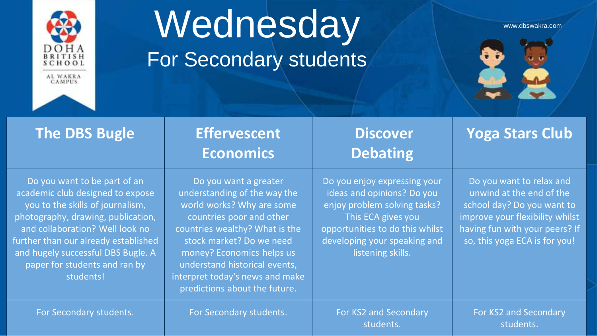

### Wednesday www.dbswakra.com For Secondary students



| <b>The DBS Bugle</b>                                                                                                                                                                                                                                                                                      | <b>Effervescent</b><br><b>Economics</b>                                                                                                                                                                                                                                                                        | <b>Discover</b><br><b>Debating</b>                                                                                                                                                                       | Yoga Stars Club                                                                                                                                                                          |
|-----------------------------------------------------------------------------------------------------------------------------------------------------------------------------------------------------------------------------------------------------------------------------------------------------------|----------------------------------------------------------------------------------------------------------------------------------------------------------------------------------------------------------------------------------------------------------------------------------------------------------------|----------------------------------------------------------------------------------------------------------------------------------------------------------------------------------------------------------|------------------------------------------------------------------------------------------------------------------------------------------------------------------------------------------|
| Do you want to be part of an<br>academic club designed to expose<br>you to the skills of journalism,<br>photography, drawing, publication,<br>and collaboration? Well look no<br>further than our already established<br>and hugely successful DBS Bugle. A<br>paper for students and ran by<br>students! | Do you want a greater<br>understanding of the way the<br>world works? Why are some<br>countries poor and other<br>countries wealthy? What is the<br>stock market? Do we need<br>money? Economics helps us<br>understand historical events,<br>interpret today's news and make<br>predictions about the future. | Do you enjoy expressing your<br>ideas and opinions? Do you<br>enjoy problem solving tasks?<br>This ECA gives you<br>opportunities to do this whilst<br>developing your speaking and<br>listening skills. | Do you want to relax and<br>unwind at the end of the<br>school day? Do you want to<br>improve your flexibility whilst<br>having fun with your peers? If<br>so, this yoga ECA is for you! |
| For Secondary students.                                                                                                                                                                                                                                                                                   | For Secondary students.                                                                                                                                                                                                                                                                                        | For KS2 and Secondary<br>students.                                                                                                                                                                       | For KS2 and Secondary<br>students.                                                                                                                                                       |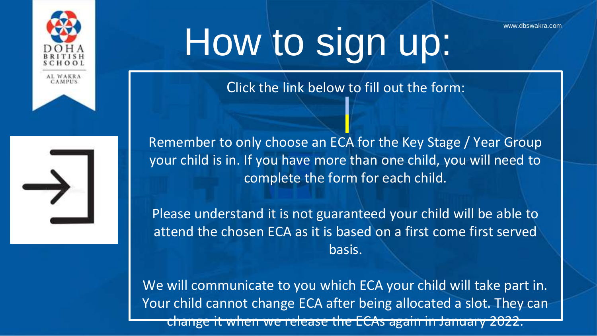



# How to sign up:

Click the link below to fill out the form:

Remember to only choose an ECA for the Key Stage / Year Group your child is in. If you have more than one child, you will need to complete the form for each child.

Please understand it is not guaranteed your child will be able to attend the chosen ECA as it is based on a first come first served basis.

We will communicate to you which ECA your child will take part in. Your child cannot change ECA after being allocated a slot. They can change it when we release the ECAs again in January 2022.